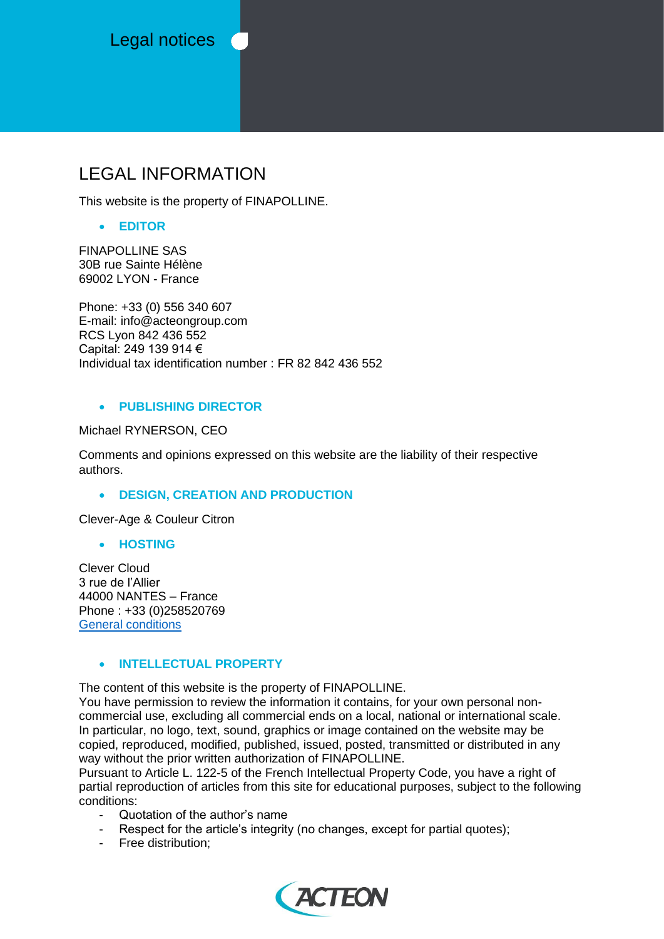Legal notices (

# LEGAL INFORMATION

This website is the property of FINAPOLLINE.

## • **EDITOR**

FINAPOLLINE SAS 30B rue Sainte Hélène 69002 LYON - France

Phone: +33 (0) 556 340 607 E-mail: info@acteongroup.com RCS Lyon 842 436 552 Capital: 249 139 914 € Individual tax identification number : FR 82 842 436 552

## • **PUBLISHING DIRECTOR**

Michael RYNERSON, CEO

Comments and opinions expressed on this website are the liability of their respective authors.

# • **DESIGN, CREATION AND PRODUCTION**

Clever-Age & Couleur Citron

#### • **HOSTING**

Clever Cloud 3 rue de l'Allier 44000 NANTES – France Phone : +33 (0)258520769 [General conditions](https://www.clever-cloud.com/terms-of-use)

# • **INTELLECTUAL PROPERTY**

The content of this website is the property of FINAPOLLINE.

You have permission to review the information it contains, for your own personal noncommercial use, excluding all commercial ends on a local, national or international scale. In particular, no logo, text, sound, graphics or image contained on the website may be copied, reproduced, modified, published, issued, posted, transmitted or distributed in any way without the prior written authorization of FINAPOLLINE.

Pursuant to Article L. 122-5 of the French Intellectual Property Code, you have a right of partial reproduction of articles from this site for educational purposes, subject to the following conditions:

- Quotation of the author's name
- Respect for the article's integrity (no changes, except for partial quotes);
- Free distribution;